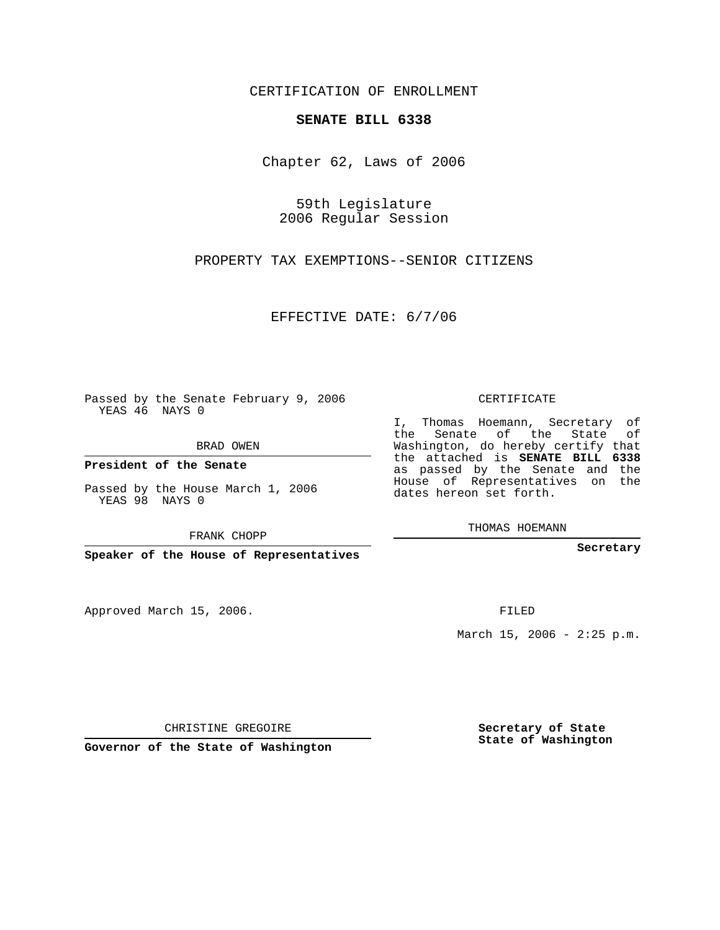CERTIFICATION OF ENROLLMENT

## **SENATE BILL 6338**

Chapter 62, Laws of 2006

59th Legislature 2006 Regular Session

PROPERTY TAX EXEMPTIONS--SENIOR CITIZENS

EFFECTIVE DATE: 6/7/06

Passed by the Senate February 9, 2006 YEAS 46 NAYS 0

BRAD OWEN

**President of the Senate**

Passed by the House March 1, 2006 YEAS 98 NAYS 0

FRANK CHOPP

**Speaker of the House of Representatives**

Approved March 15, 2006.

CERTIFICATE

I, Thomas Hoemann, Secretary of the Senate of the State of Washington, do hereby certify that the attached is **SENATE BILL 6338** as passed by the Senate and the House of Representatives on the dates hereon set forth.

THOMAS HOEMANN

**Secretary**

FILED

March 15, 2006 -  $2:25$  p.m.

CHRISTINE GREGOIRE

**Governor of the State of Washington**

**Secretary of State State of Washington**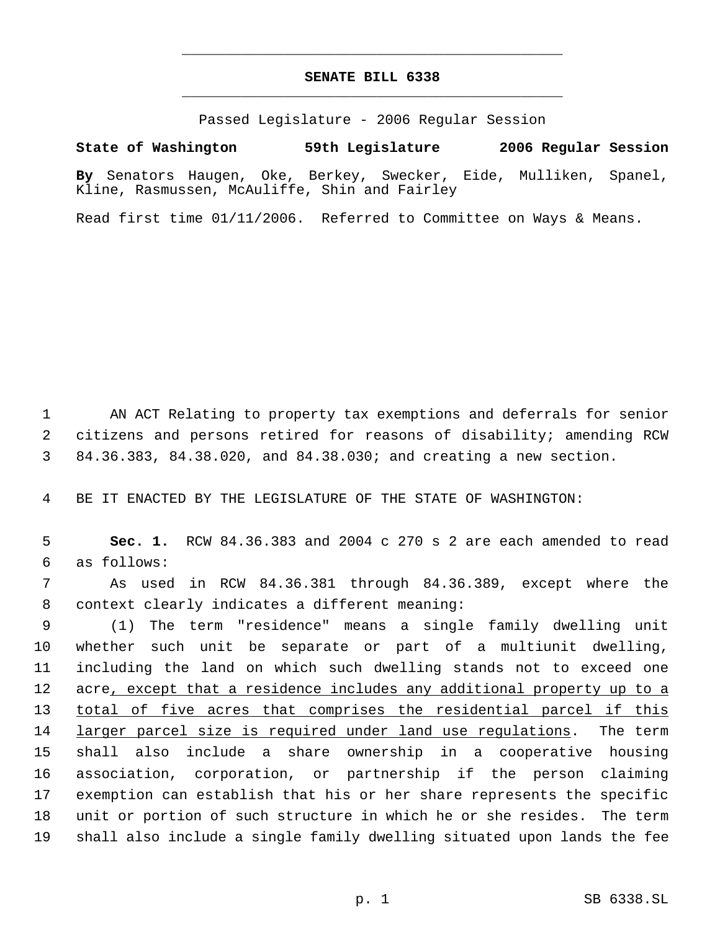## **SENATE BILL 6338** \_\_\_\_\_\_\_\_\_\_\_\_\_\_\_\_\_\_\_\_\_\_\_\_\_\_\_\_\_\_\_\_\_\_\_\_\_\_\_\_\_\_\_\_\_

\_\_\_\_\_\_\_\_\_\_\_\_\_\_\_\_\_\_\_\_\_\_\_\_\_\_\_\_\_\_\_\_\_\_\_\_\_\_\_\_\_\_\_\_\_

Passed Legislature - 2006 Regular Session

**State of Washington 59th Legislature 2006 Regular Session**

**By** Senators Haugen, Oke, Berkey, Swecker, Eide, Mulliken, Spanel, Kline, Rasmussen, McAuliffe, Shin and Fairley

Read first time 01/11/2006. Referred to Committee on Ways & Means.

 1 AN ACT Relating to property tax exemptions and deferrals for senior 2 citizens and persons retired for reasons of disability; amending RCW 3 84.36.383, 84.38.020, and 84.38.030; and creating a new section.

4 BE IT ENACTED BY THE LEGISLATURE OF THE STATE OF WASHINGTON:

 5 **Sec. 1.** RCW 84.36.383 and 2004 c 270 s 2 are each amended to read 6 as follows:

 7 As used in RCW 84.36.381 through 84.36.389, except where the 8 context clearly indicates a different meaning:

 (1) The term "residence" means a single family dwelling unit whether such unit be separate or part of a multiunit dwelling, including the land on which such dwelling stands not to exceed one 12 acre, except that a residence includes any additional property up to a 13 total of five acres that comprises the residential parcel if this 14 larger parcel size is required under land use regulations. The term shall also include a share ownership in a cooperative housing association, corporation, or partnership if the person claiming exemption can establish that his or her share represents the specific unit or portion of such structure in which he or she resides. The term shall also include a single family dwelling situated upon lands the fee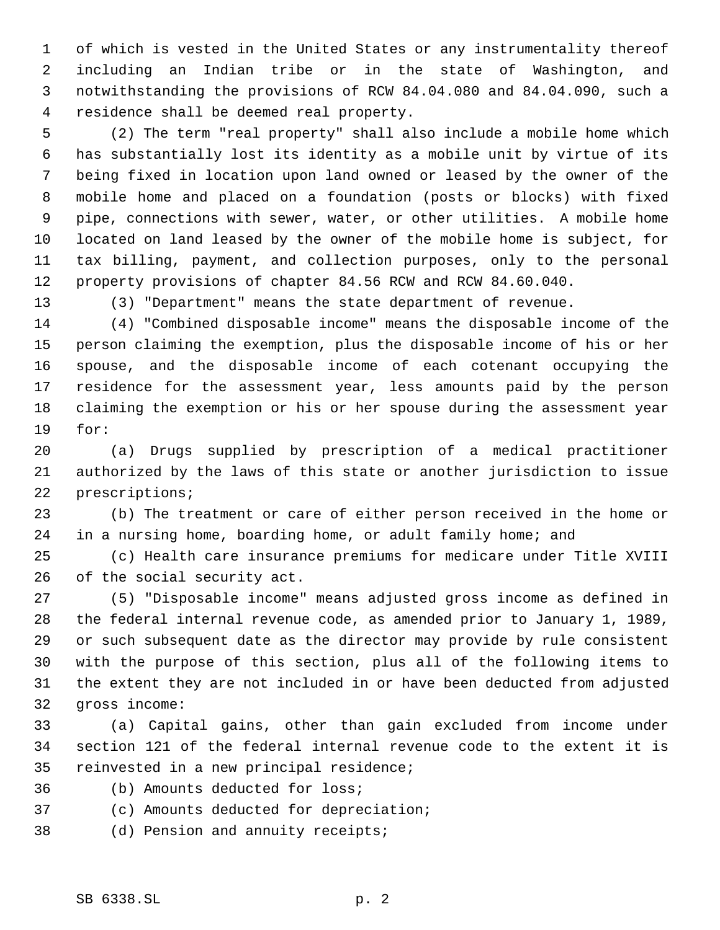of which is vested in the United States or any instrumentality thereof including an Indian tribe or in the state of Washington, and notwithstanding the provisions of RCW 84.04.080 and 84.04.090, such a residence shall be deemed real property.

 (2) The term "real property" shall also include a mobile home which has substantially lost its identity as a mobile unit by virtue of its being fixed in location upon land owned or leased by the owner of the mobile home and placed on a foundation (posts or blocks) with fixed pipe, connections with sewer, water, or other utilities. A mobile home located on land leased by the owner of the mobile home is subject, for tax billing, payment, and collection purposes, only to the personal property provisions of chapter 84.56 RCW and RCW 84.60.040.

(3) "Department" means the state department of revenue.

 (4) "Combined disposable income" means the disposable income of the person claiming the exemption, plus the disposable income of his or her spouse, and the disposable income of each cotenant occupying the residence for the assessment year, less amounts paid by the person claiming the exemption or his or her spouse during the assessment year for:

 (a) Drugs supplied by prescription of a medical practitioner authorized by the laws of this state or another jurisdiction to issue prescriptions;

 (b) The treatment or care of either person received in the home or in a nursing home, boarding home, or adult family home; and

 (c) Health care insurance premiums for medicare under Title XVIII of the social security act.

 (5) "Disposable income" means adjusted gross income as defined in the federal internal revenue code, as amended prior to January 1, 1989, or such subsequent date as the director may provide by rule consistent with the purpose of this section, plus all of the following items to the extent they are not included in or have been deducted from adjusted gross income:

 (a) Capital gains, other than gain excluded from income under section 121 of the federal internal revenue code to the extent it is reinvested in a new principal residence;

- (b) Amounts deducted for loss;
- (c) Amounts deducted for depreciation;
- (d) Pension and annuity receipts;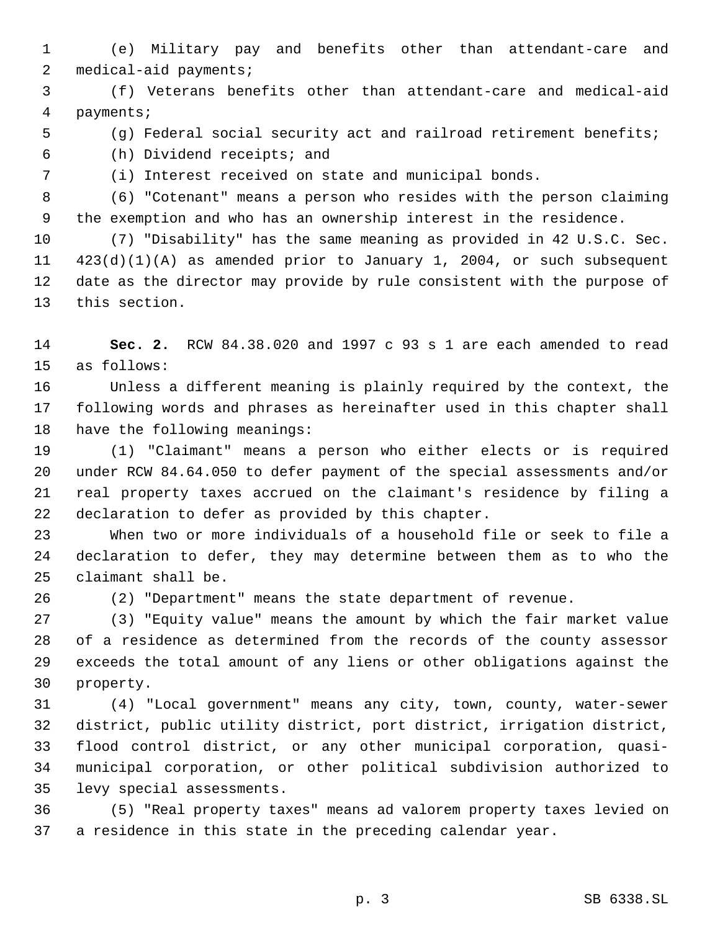(e) Military pay and benefits other than attendant-care and medical-aid payments;

 (f) Veterans benefits other than attendant-care and medical-aid payments;

(g) Federal social security act and railroad retirement benefits;

(h) Dividend receipts; and

(i) Interest received on state and municipal bonds.

 (6) "Cotenant" means a person who resides with the person claiming the exemption and who has an ownership interest in the residence.

 (7) "Disability" has the same meaning as provided in 42 U.S.C. Sec. 423(d)(1)(A) as amended prior to January 1, 2004, or such subsequent date as the director may provide by rule consistent with the purpose of this section.

 **Sec. 2.** RCW 84.38.020 and 1997 c 93 s 1 are each amended to read as follows:

 Unless a different meaning is plainly required by the context, the following words and phrases as hereinafter used in this chapter shall have the following meanings:

 (1) "Claimant" means a person who either elects or is required under RCW 84.64.050 to defer payment of the special assessments and/or real property taxes accrued on the claimant's residence by filing a declaration to defer as provided by this chapter.

 When two or more individuals of a household file or seek to file a declaration to defer, they may determine between them as to who the claimant shall be.

(2) "Department" means the state department of revenue.

 (3) "Equity value" means the amount by which the fair market value of a residence as determined from the records of the county assessor exceeds the total amount of any liens or other obligations against the property.

 (4) "Local government" means any city, town, county, water-sewer district, public utility district, port district, irrigation district, flood control district, or any other municipal corporation, quasi- municipal corporation, or other political subdivision authorized to levy special assessments.

 (5) "Real property taxes" means ad valorem property taxes levied on a residence in this state in the preceding calendar year.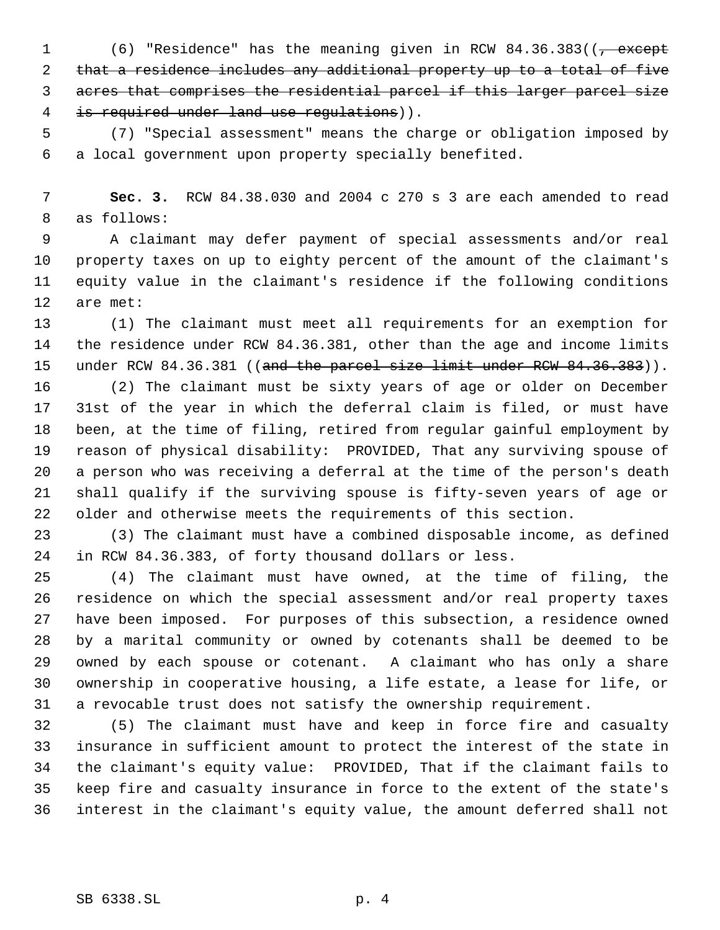1 (6) "Residence" has the meaning given in RCW 84.36.383((<del>, except</del> that a residence includes any additional property up to a total of five acres that comprises the residential parcel if this larger parcel size 4 is required under land use regulations)).

 (7) "Special assessment" means the charge or obligation imposed by a local government upon property specially benefited.

 **Sec. 3.** RCW 84.38.030 and 2004 c 270 s 3 are each amended to read as follows:

 A claimant may defer payment of special assessments and/or real property taxes on up to eighty percent of the amount of the claimant's equity value in the claimant's residence if the following conditions are met:

 (1) The claimant must meet all requirements for an exemption for the residence under RCW 84.36.381, other than the age and income limits 15 under RCW 84.36.381 ((and the parcel size limit under RCW 84.36.383)).

 (2) The claimant must be sixty years of age or older on December 31st of the year in which the deferral claim is filed, or must have been, at the time of filing, retired from regular gainful employment by reason of physical disability: PROVIDED, That any surviving spouse of a person who was receiving a deferral at the time of the person's death shall qualify if the surviving spouse is fifty-seven years of age or older and otherwise meets the requirements of this section.

 (3) The claimant must have a combined disposable income, as defined in RCW 84.36.383, of forty thousand dollars or less.

 (4) The claimant must have owned, at the time of filing, the residence on which the special assessment and/or real property taxes have been imposed. For purposes of this subsection, a residence owned by a marital community or owned by cotenants shall be deemed to be owned by each spouse or cotenant. A claimant who has only a share ownership in cooperative housing, a life estate, a lease for life, or a revocable trust does not satisfy the ownership requirement.

 (5) The claimant must have and keep in force fire and casualty insurance in sufficient amount to protect the interest of the state in the claimant's equity value: PROVIDED, That if the claimant fails to keep fire and casualty insurance in force to the extent of the state's interest in the claimant's equity value, the amount deferred shall not